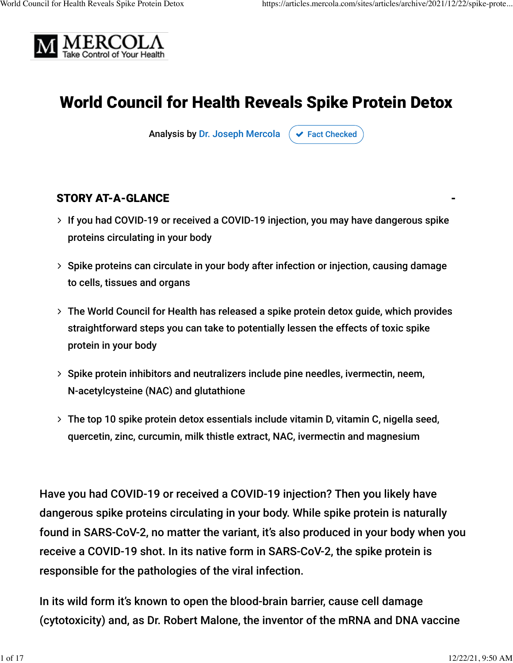

# World Council for Health Reveals Spike Protein Detox

Analysis by [Dr. Joseph Mercola](https://www.mercola.com/forms/background.htm)  $\sigma$  [Fact Checked](javascript:void(0))

### STORY AT-A-GLANCE

- If you had COVID-19 or received a COVID-19 injection, you may have dangerous spike ∠ proteins circulating in your body
- ≻ Spike proteins can circulate in your body after infection or injection, causing damage to cells, tissues and organs
- The World Council for Health has released a spike protein detox guide, which provides ∠ straightforward steps you can take to potentially lessen the effects of toxic spike protein in your body
- ≻ Spike protein inhibitors and neutralizers include pine needles, ivermectin, neem, N-acetylcysteine (NAC) and glutathione
- The top 10 spike protein detox essentials include vitamin D, vitamin C, nigella seed, ∠ quercetin, zinc, curcumin, milk thistle extract, NAC, ivermectin and magnesium

Have you had COVID-19 or received a COVID-19 injection? Then you likely have dangerous spike proteins circulating in your body. While spike protein is naturally found in SARS-CoV-2, no matter the variant, it's also produced in your body when you receive a COVID-19 shot. In its native form in SARS-CoV-2, the spike protein is responsible for the pathologies of the viral infection.

In its wild form it's known to open the blood-brain barrier, cause cell damage (cytotoxicity) and, as Dr. Robert Malone, the inventor of the mRNA and DNA vaccine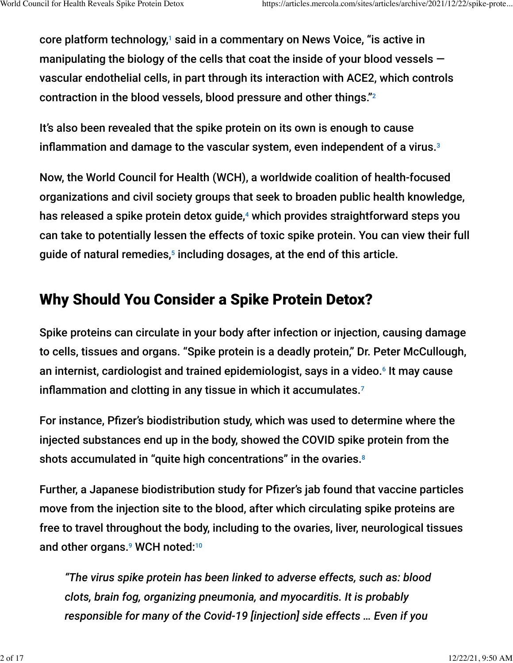core platform technology,1 said in a commentary on News Voice, "is active in manipulating the biology of the cells that coat the inside of your blood vessels  $$ vascular endothelial cells, in part through its interaction with ACE2, which controls contraction in the blood vessels, blood pressure and other things." $^{\rm 2}$ 

It's also been revealed that the spike protein on its own is enough to cause inflammation and damage to the vascular system, even independent of a virus. $^{\text{3}}$ 

Now, the World Council for Health (WCH), a worldwide coalition of health-focused organizations and civil society groups that seek to broaden public health knowledge, has released a spike protein detox guide,<sup>4</sup> which provides straightforward steps you can take to potentially lessen the effects of toxic spike protein. You can view their full guide of natural remedies, $^{\rm 5}$  including dosages, at the end of this article.

# Why Should You Consider a Spike Protein Detox?

Spike proteins can circulate in your body after infection or injection, causing damage to cells, tissues and organs. "Spike protein is a deadly protein," Dr. Peter McCullough, an internist, cardiologist and trained epidemiologist, says in a video.<sup>6</sup> It may cause inflammation and clotting in any tissue in which it accumulates.<sup>7</sup>

For instance, Pfizer's biodistribution study, which was used to determine where the injected substances end up in the body, showed the COVID spike protein from the shots accumulated in "quite high concentrations" in the ovaries. 8

Further, a Japanese biodistribution study for Pfizer's jab found that vaccine particles move from the injection site to the blood, after which circulating spike proteins are free to travel throughout the body, including to the ovaries, liver, neurological tissues and other organs.<sup>9</sup> WCH noted:<sup>10</sup>

*"The virus spike protein has been linked to adverse effects, such as: blood clots, brain fog, organizing pneumonia, and myocarditis. It is probably responsible for many of the Covid-19 [injection] side effects … Even if you*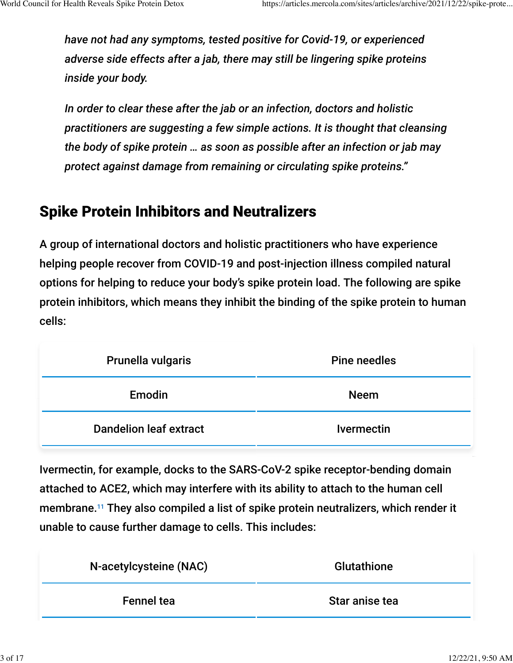*have not had any symptoms, tested positive for Covid-19, or experienced adverse side effects after a jab, there may still be lingering spike proteins inside your body.*

*In order to clear these after the jab or an infection, doctors and holistic practitioners are suggesting a few simple actions. It is thought that cleansing the body of spike protein … as soon as possible after an infection or jab may protect against damage from remaining or circulating spike proteins."*

# Spike Protein Inhibitors and Neutralizers

A group of international doctors and holistic practitioners who have experience helping people recover from COVID-19 and post-injection illness compiled natural options for helping to reduce your body's spike protein load. The following are spike protein inhibitors, which means they inhibit the binding of the spike protein to human cells:

| Prunella vulgaris             | Pine needles      |  |
|-------------------------------|-------------------|--|
| Emodin                        | <b>Neem</b>       |  |
| <b>Dandelion leaf extract</b> | <b>Ivermectin</b> |  |

Ivermectin, for example, docks to the SARS-CoV-2 spike receptor-bending domain attached to ACE2, which may interfere with its ability to attach to the human cell membrane.<sup>11</sup> They also compiled a list of spike protein neutralizers, which render it unable to cause further damage to cells. This includes:

| N-acetylcysteine (NAC) | <b>Glutathione</b> |  |
|------------------------|--------------------|--|
| <b>Fennel tea</b>      | Star anise tea     |  |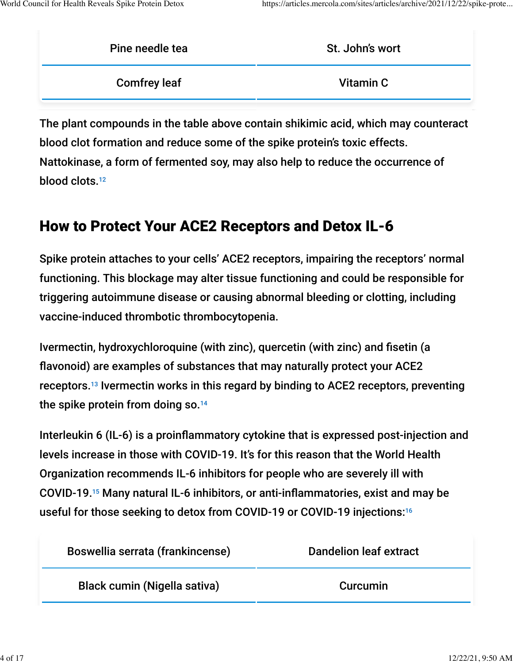| Pine needle tea     | St. John's wort |  |
|---------------------|-----------------|--|
| <b>Comfrey leaf</b> | Vitamin C       |  |
|                     |                 |  |

The plant compounds in the table above contain shikimic acid, which may counteract blood clot formation and reduce some of the spike protein's toxic effects. Nattokinase, a form of fermented soy, may also help to reduce the occurrence of blood clots. 12

# How to Protect Your ACE2 Receptors and Detox IL-6

Spike protein attaches to your cells' ACE2 receptors, impairing the receptors' normal functioning. This blockage may alter tissue functioning and could be responsible for triggering autoimmune disease or causing abnormal bleeding or clotting, including vaccine-induced thrombotic thrombocytopenia.

Ivermectin, hydroxychloroquine (with zinc), quercetin (with zinc) and fisetin (a flavonoid) are examples of substances that may naturally protect your ACE2 receptors.<sup>13</sup> Ivermectin works in this regard by binding to ACE2 receptors, preventing the spike protein from doing so. 14

Interleukin 6 (IL-6) is a proinflammatory cytokine that is expressed post-injection and levels increase in those with COVID-19. It's for this reason that the World Health Organization recommends IL-6 inhibitors for people who are severely ill with COVID-19.<sup>15</sup> Many natural IL-6 inhibitors, or anti-inflammatories, exist and may be useful for those seeking to detox from COVID-19 or COVID-19 injections: 16

| Boswellia serrata (frankincense) | <b>Dandelion leaf extract</b> |  |
|----------------------------------|-------------------------------|--|
| Black cumin (Nigella sativa)     | Curcumin                      |  |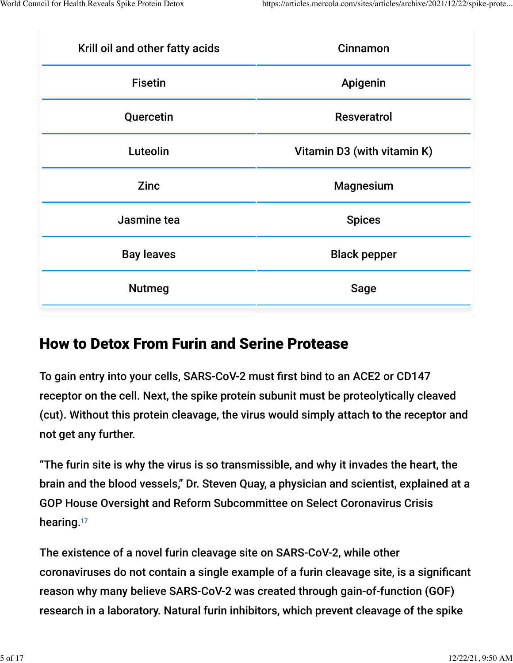| Krill oil and other fatty acids | Cinnamon                    |  |
|---------------------------------|-----------------------------|--|
| <b>Fisetin</b>                  | Apigenin                    |  |
| Quercetin                       | <b>Resveratrol</b>          |  |
| Luteolin                        | Vitamin D3 (with vitamin K) |  |
| <b>Zinc</b>                     | <b>Magnesium</b>            |  |
| Jasmine tea                     | <b>Spices</b>               |  |
| <b>Bay leaves</b>               | <b>Black pepper</b>         |  |
| <b>Nutmeg</b>                   | <b>Sage</b>                 |  |

## How to Detox From Furin and Serine Protease

To gain entry into your cells, SARS-CoV-2 must first bind to an ACE2 or CD147 receptor on the cell. Next, the spike protein subunit must be proteolytically cleaved (cut). Without this protein cleavage, the virus would simply attach to the receptor and not get any further.

"The furin site is why the virus is so transmissible, and why it invades the heart, the brain and the blood vessels," Dr. Steven Quay, a physician and scientist, explained at a GOP House Oversight and Reform Subcommittee on Select Coronavirus Crisis hearing.<sup>17</sup>

The existence of a novel furin cleavage site on SARS-CoV-2, while other coronaviruses do not contain a single example of a furin cleavage site, is a significant reason why many believe SARS-CoV-2 was created through gain-of-function (GOF) research in a laboratory. Natural furin inhibitors, which prevent cleavage of the spike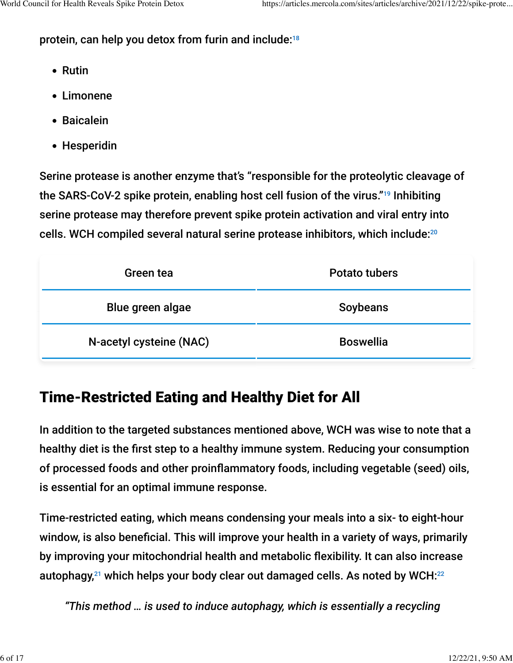## protein, can help you detox from furin and include: 18

- Rutin
- Limonene
- Baicalein
- Hesperidin

Serine protease is another enzyme that's "responsible for the proteolytic cleavage of the SARS-CoV-2 spike protein, enabling host cell fusion of the virus."<sup>19</sup> Inhibiting serine protease may therefore prevent spike protein activation and viral entry into cells. WCH compiled several natural serine protease inhibitors, which include: 20

| Green tea               | Potato tubers    |  |
|-------------------------|------------------|--|
| Blue green algae        | Soybeans         |  |
| N-acetyl cysteine (NAC) | <b>Boswellia</b> |  |

# Time-Restricted Eating and Healthy Diet for All

In addition to the targeted substances mentioned above, WCH was wise to note that a healthy diet is the first step to a healthy immune system. Reducing your consumption of processed foods and other proinflammatory foods, including vegetable (seed) oils, is essential for an optimal immune response.

Time-restricted eating, which means condensing your meals into a six- to eight-hour window, is also beneficial. This will improve your health in a variety of ways, primarily by improving your mitochondrial health and metabolic flexibility. It can also increase autophagy, $^{21}$  which helps your body clear out damaged cells. As noted by WCH: $^{22}$ 

*"This method … is used to induce autophagy, which is essentially a recycling*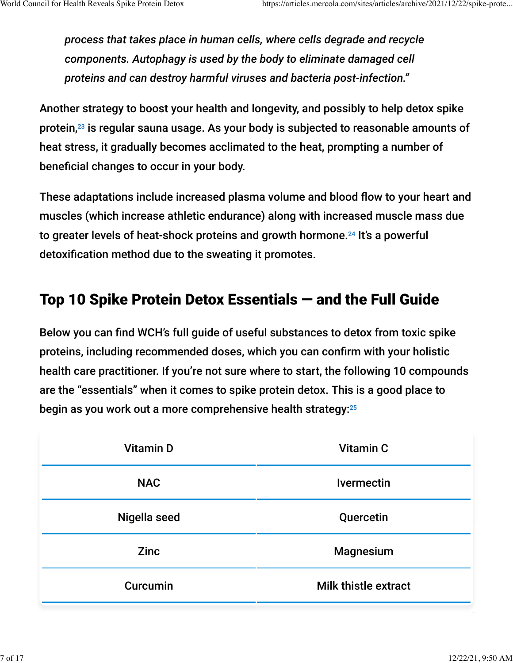*process that takes place in human cells, where cells degrade and recycle components. Autophagy is used by the body to eliminate damaged cell proteins and can destroy harmful viruses and bacteria post-infection."*

Another strategy to boost your health and longevity, and possibly to help detox spike protein, $^{\rm 23}$  is regular sauna usage. As your body is subjected to reasonable amounts of heat stress, it gradually becomes acclimated to the heat, prompting a number of beneficial changes to occur in your body.

These adaptations include increased plasma volume and blood flow to your heart and muscles (which increase athletic endurance) along with increased muscle mass due to greater levels of heat-shock proteins and growth hormone.<sup>24</sup> It's a powerful detoxification method due to the sweating it promotes.

# Top 10 Spike Protein Detox Essentials — and the Full Guide

Below you can find WCH's full guide of useful substances to detox from toxic spike proteins, including recommended doses, which you can confirm with your holistic health care practitioner. If you're not sure where to start, the following 10 compounds are the "essentials" when it comes to spike protein detox. This is a good place to begin as you work out a more comprehensive health strategy: $^{25}$ 

| <b>Vitamin D</b> | <b>Vitamin C</b>            |  |
|------------------|-----------------------------|--|
| <b>NAC</b>       | <b>Ivermectin</b>           |  |
| Nigella seed     | Quercetin                   |  |
| <b>Zinc</b>      | <b>Magnesium</b>            |  |
| Curcumin         | <b>Milk thistle extract</b> |  |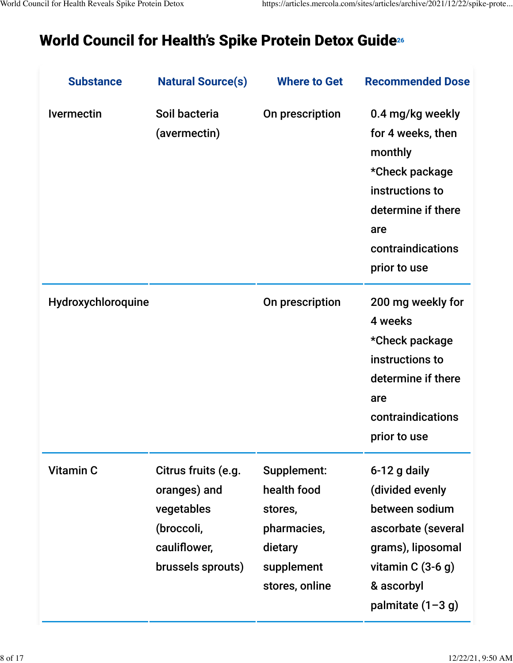# World Council for Health's Spike Protein Detox Guide 26

| <b>Substance</b>   | <b>Natural Source(s)</b>                                                                             | <b>Where to Get</b>                                                                             | <b>Recommended Dose</b>                                                                                                                                 |
|--------------------|------------------------------------------------------------------------------------------------------|-------------------------------------------------------------------------------------------------|---------------------------------------------------------------------------------------------------------------------------------------------------------|
| <b>Ivermectin</b>  | Soil bacteria<br>(avermectin)                                                                        | On prescription                                                                                 | 0.4 mg/kg weekly<br>for 4 weeks, then<br>monthly<br>*Check package<br>instructions to<br>determine if there<br>are<br>contraindications<br>prior to use |
| Hydroxychloroquine |                                                                                                      | On prescription                                                                                 | 200 mg weekly for<br>4 weeks<br>*Check package<br>instructions to<br>determine if there<br>are<br>contraindications<br>prior to use                     |
| <b>Vitamin C</b>   | Citrus fruits (e.g.<br>oranges) and<br>vegetables<br>(broccoli,<br>cauliflower,<br>brussels sprouts) | Supplement:<br>health food<br>stores,<br>pharmacies,<br>dietary<br>supplement<br>stores, online | 6-12 g daily<br>(divided evenly<br>between sodium<br>ascorbate (several<br>grams), liposomal<br>vitamin $C(3-6)$<br>& ascorbyl<br>palmitate $(1-3 g)$   |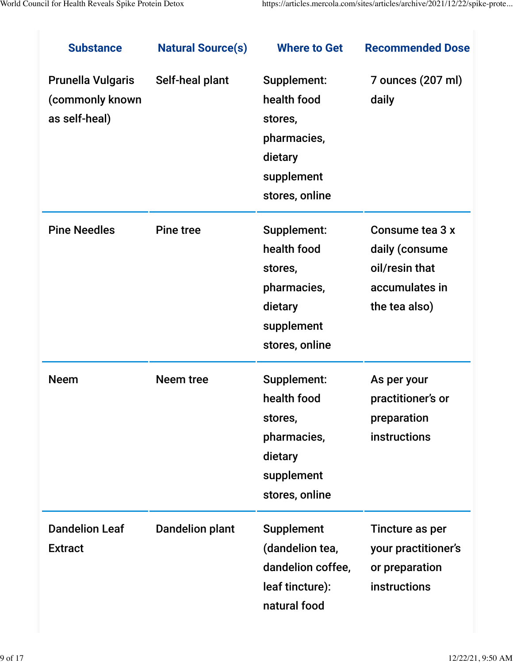| <b>Substance</b>                                             | <b>Natural Source(s)</b> | <b>Where to Get</b>                                                                             | <b>Recommended Dose</b>                                                                |
|--------------------------------------------------------------|--------------------------|-------------------------------------------------------------------------------------------------|----------------------------------------------------------------------------------------|
| <b>Prunella Vulgaris</b><br>(commonly known<br>as self-heal) | Self-heal plant          | Supplement:<br>health food<br>stores,<br>pharmacies,<br>dietary<br>supplement<br>stores, online | 7 ounces (207 ml)<br>daily                                                             |
| <b>Pine Needles</b>                                          | <b>Pine tree</b>         | Supplement:<br>health food<br>stores,<br>pharmacies,<br>dietary<br>supplement<br>stores, online | Consume tea 3 x<br>daily (consume<br>oil/resin that<br>accumulates in<br>the tea also) |
| <b>Neem</b>                                                  | <b>Neem tree</b>         | Supplement:<br>health food<br>stores,<br>pharmacies,<br>dietary<br>supplement<br>stores, online | As per your<br>practitioner's or<br>preparation<br>instructions                        |
| <b>Dandelion Leaf</b><br><b>Extract</b>                      | <b>Dandelion plant</b>   | <b>Supplement</b><br>(dandelion tea,<br>dandelion coffee,<br>leaf tincture):<br>natural food    | Tincture as per<br>your practitioner's<br>or preparation<br>instructions               |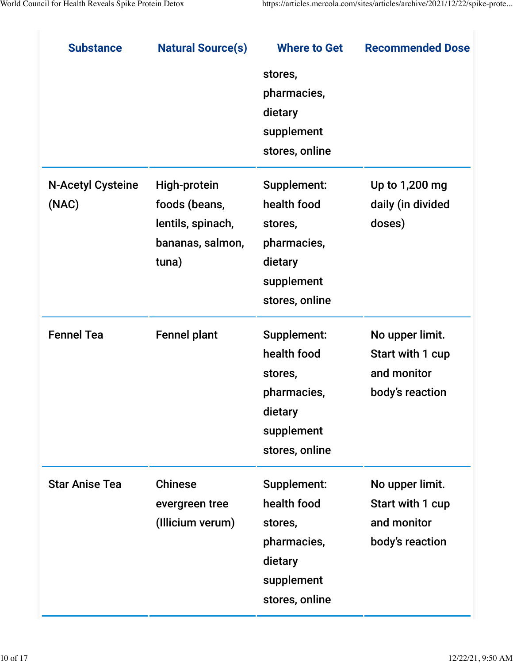| <b>Substance</b>                  | <b>Natural Source(s)</b>                                                        | <b>Where to Get</b>                                                                             | <b>Recommended Dose</b>                                               |
|-----------------------------------|---------------------------------------------------------------------------------|-------------------------------------------------------------------------------------------------|-----------------------------------------------------------------------|
|                                   |                                                                                 | stores,<br>pharmacies,<br>dietary<br>supplement<br>stores, online                               |                                                                       |
| <b>N-Acetyl Cysteine</b><br>(NAC) | High-protein<br>foods (beans,<br>lentils, spinach,<br>bananas, salmon,<br>tuna) | Supplement:<br>health food<br>stores,<br>pharmacies,<br>dietary<br>supplement<br>stores, online | Up to 1,200 mg<br>daily (in divided<br>doses)                         |
| <b>Fennel Tea</b>                 | <b>Fennel plant</b>                                                             | Supplement:<br>health food<br>stores,<br>pharmacies,<br>dietary<br>supplement<br>stores, online | No upper limit.<br>Start with 1 cup<br>and monitor<br>body's reaction |
| <b>Star Anise Tea</b>             | <b>Chinese</b><br>evergreen tree<br>(Illicium verum)                            | Supplement:<br>health food<br>stores,<br>pharmacies,<br>dietary<br>supplement<br>stores, online | No upper limit.<br>Start with 1 cup<br>and monitor<br>body's reaction |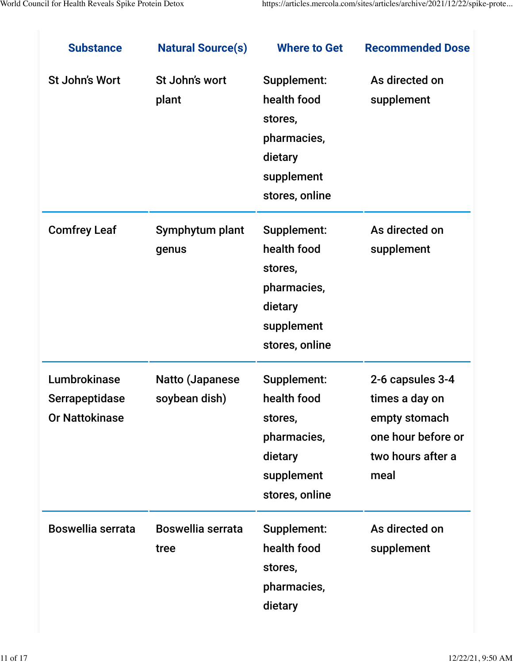| <b>Substance</b>                                               | <b>Natural Source(s)</b>                | <b>Where to Get</b>                                                                             | <b>Recommended Dose</b>                                                                                |
|----------------------------------------------------------------|-----------------------------------------|-------------------------------------------------------------------------------------------------|--------------------------------------------------------------------------------------------------------|
| <b>St John's Wort</b>                                          | St John's wort<br>plant                 | Supplement:<br>health food<br>stores,<br>pharmacies,<br>dietary<br>supplement<br>stores, online | As directed on<br>supplement                                                                           |
| <b>Comfrey Leaf</b>                                            | Symphytum plant<br>genus                | Supplement:<br>health food<br>stores,<br>pharmacies,<br>dietary<br>supplement<br>stores, online | As directed on<br>supplement                                                                           |
| Lumbrokinase<br><b>Serrapeptidase</b><br><b>Or Nattokinase</b> | <b>Natto (Japanese</b><br>soybean dish) | Supplement:<br>health food<br>stores,<br>pharmacies,<br>dietary<br>supplement<br>stores, online | 2-6 capsules 3-4<br>times a day on<br>empty stomach<br>one hour before or<br>two hours after a<br>meal |
| <b>Boswellia serrata</b>                                       | <b>Boswellia serrata</b><br>tree        | Supplement:<br>health food<br>stores,<br>pharmacies,<br>dietary                                 | As directed on<br>supplement                                                                           |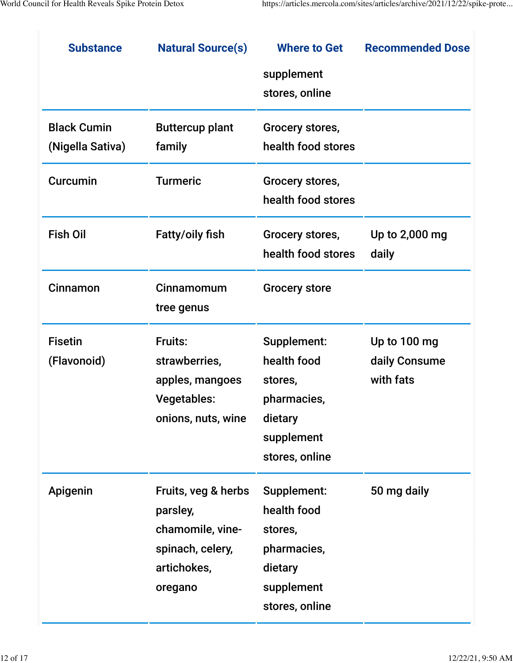| <b>Substance</b>   | <b>Natural Source(s)</b> | <b>Where to Get</b>  | <b>Recommended Dose</b> |
|--------------------|--------------------------|----------------------|-------------------------|
|                    |                          | supplement           |                         |
|                    |                          | stores, online       |                         |
| <b>Black Cumin</b> | <b>Buttercup plant</b>   | Grocery stores,      |                         |
| (Nigella Sativa)   | family                   | health food stores   |                         |
| Curcumin           | <b>Turmeric</b>          | Grocery stores,      |                         |
|                    |                          | health food stores   |                         |
| <b>Fish Oil</b>    | <b>Fatty/oily fish</b>   | Grocery stores,      | Up to 2,000 mg          |
|                    |                          | health food stores   | daily                   |
| Cinnamon           | Cinnamomum               | <b>Grocery store</b> |                         |
|                    | tree genus               |                      |                         |
| <b>Fisetin</b>     | Fruits:                  | Supplement:          | Up to 100 mg            |
| (Flavonoid)        | strawberries,            | health food          | daily Consume           |
|                    | apples, mangoes          | stores,              | with fats               |
|                    | <b>Vegetables:</b>       | pharmacies,          |                         |
|                    | onions, nuts, wine       | dietary              |                         |
|                    |                          | supplement           |                         |
|                    |                          | stores, online       |                         |
| Apigenin           | Fruits, veg & herbs      | Supplement:          | 50 mg daily             |
|                    | parsley,                 | health food          |                         |
|                    | chamomile, vine-         | stores,              |                         |
|                    | spinach, celery,         | pharmacies,          |                         |
|                    | artichokes,              | dietary              |                         |
|                    | oregano                  | supplement           |                         |
|                    |                          | stores, online       |                         |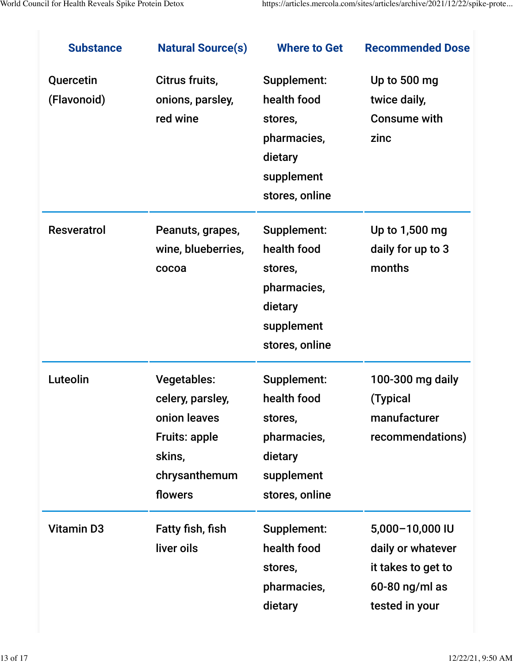| <b>Substance</b>         | <b>Natural Source(s)</b>                                                                                             | <b>Where to Get</b>                                                                             | <b>Recommended Dose</b>                                                                        |
|--------------------------|----------------------------------------------------------------------------------------------------------------------|-------------------------------------------------------------------------------------------------|------------------------------------------------------------------------------------------------|
| Quercetin<br>(Flavonoid) | Citrus fruits,<br>onions, parsley,<br>red wine                                                                       | Supplement:<br>health food<br>stores,<br>pharmacies,<br>dietary<br>supplement<br>stores, online | Up to 500 mg<br>twice daily,<br><b>Consume with</b><br>zinc                                    |
| <b>Resveratrol</b>       | Peanuts, grapes,<br>wine, blueberries,<br>cocoa                                                                      | Supplement:<br>health food<br>stores,<br>pharmacies,<br>dietary<br>supplement<br>stores, online | Up to 1,500 mg<br>daily for up to 3<br>months                                                  |
| Luteolin                 | <b>Vegetables:</b><br>celery, parsley,<br>onion leaves<br><b>Fruits: apple</b><br>skins,<br>chrysanthemum<br>flowers | Supplement:<br>health food<br>stores,<br>pharmacies,<br>dietary<br>supplement<br>stores, online | 100-300 mg daily<br>(Typical<br>manufacturer<br>recommendations)                               |
| <b>Vitamin D3</b>        | Fatty fish, fish<br>liver oils                                                                                       | Supplement:<br>health food<br>stores,<br>pharmacies,<br>dietary                                 | 5,000-10,000 IU<br>daily or whatever<br>it takes to get to<br>60-80 ng/ml as<br>tested in your |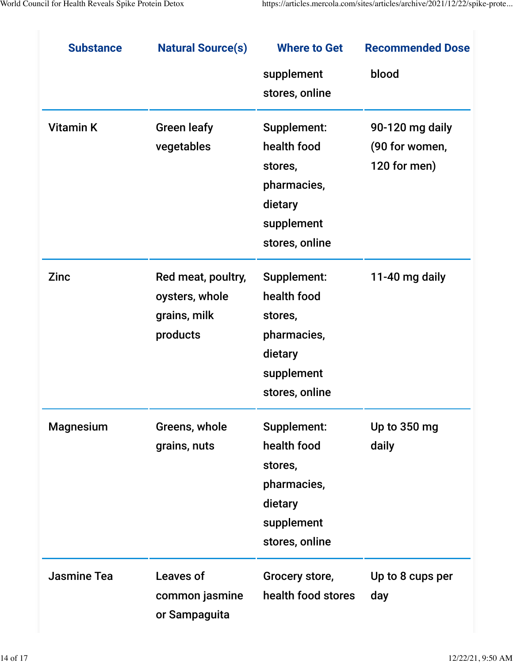| <b>Substance</b>   | <b>Natural Source(s)</b> | <b>Where to Get</b> | <b>Recommended Dose</b> |
|--------------------|--------------------------|---------------------|-------------------------|
|                    |                          | supplement          | blood                   |
|                    |                          | stores, online      |                         |
| <b>Vitamin K</b>   | <b>Green leafy</b>       | Supplement:         | 90-120 mg daily         |
|                    | vegetables               | health food         | (90 for women,          |
|                    |                          | stores,             | 120 for men)            |
|                    |                          | pharmacies,         |                         |
|                    |                          | dietary             |                         |
|                    |                          | supplement          |                         |
|                    |                          | stores, online      |                         |
| <b>Zinc</b>        | Red meat, poultry,       | Supplement:         | 11-40 mg daily          |
|                    | oysters, whole           | health food         |                         |
|                    | grains, milk             | stores,             |                         |
|                    | products                 | pharmacies,         |                         |
|                    |                          | dietary             |                         |
|                    |                          | supplement          |                         |
|                    |                          | stores, online      |                         |
| <b>Magnesium</b>   | Greens, whole            | Supplement:         | Up to 350 mg            |
|                    | grains, nuts             | health food         | daily                   |
|                    |                          | stores,             |                         |
|                    |                          | pharmacies,         |                         |
|                    |                          | dietary             |                         |
|                    |                          | supplement          |                         |
|                    |                          | stores, online      |                         |
| <b>Jasmine Tea</b> | <b>Leaves of</b>         | Grocery store,      | Up to 8 cups per        |
|                    | common jasmine           | health food stores  | day                     |
|                    | or Sampaguita            |                     |                         |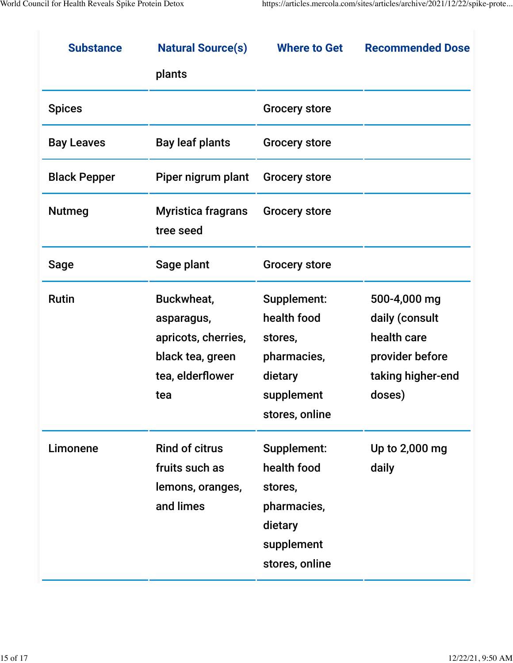| <b>Substance</b>    | <b>Natural Source(s)</b>                                                                       | <b>Where to Get</b>                                                                             | <b>Recommended Dose</b>                                                                         |
|---------------------|------------------------------------------------------------------------------------------------|-------------------------------------------------------------------------------------------------|-------------------------------------------------------------------------------------------------|
|                     | plants                                                                                         |                                                                                                 |                                                                                                 |
| <b>Spices</b>       |                                                                                                | <b>Grocery store</b>                                                                            |                                                                                                 |
| <b>Bay Leaves</b>   | <b>Bay leaf plants</b>                                                                         | <b>Grocery store</b>                                                                            |                                                                                                 |
| <b>Black Pepper</b> | Piper nigrum plant                                                                             | <b>Grocery store</b>                                                                            |                                                                                                 |
| <b>Nutmeg</b>       | <b>Myristica fragrans</b><br>tree seed                                                         | <b>Grocery store</b>                                                                            |                                                                                                 |
| <b>Sage</b>         | Sage plant                                                                                     | <b>Grocery store</b>                                                                            |                                                                                                 |
| <b>Rutin</b>        | Buckwheat,<br>asparagus,<br>apricots, cherries,<br>black tea, green<br>tea, elderflower<br>tea | Supplement:<br>health food<br>stores,<br>pharmacies,<br>dietary<br>supplement<br>stores, online | 500-4,000 mg<br>daily (consult<br>health care<br>provider before<br>taking higher-end<br>doses) |
| Limonene            | <b>Rind of citrus</b><br>fruits such as<br>lemons, oranges,<br>and limes                       | Supplement:<br>health food<br>stores,<br>pharmacies,<br>dietary<br>supplement<br>stores, online | Up to 2,000 mg<br>daily                                                                         |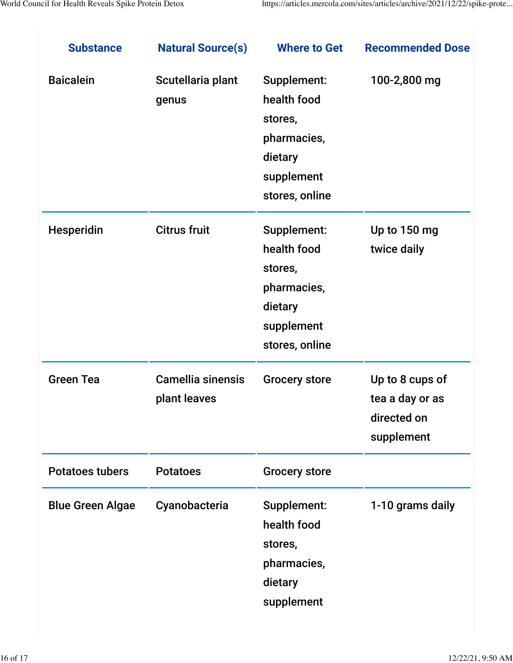| <b>Substance</b>        | <b>Natural Source(s)</b>                 | <b>Where to Get</b>                                                                             | <b>Recommended Dose</b>                                         |
|-------------------------|------------------------------------------|-------------------------------------------------------------------------------------------------|-----------------------------------------------------------------|
| <b>Baicalein</b>        | Scutellaria plant<br>genus               | Supplement:<br>health food<br>stores,<br>pharmacies,<br>dietary<br>supplement<br>stores, online | 100-2,800 mg                                                    |
| Hesperidin              | <b>Citrus fruit</b>                      | Supplement:<br>health food<br>stores,<br>pharmacies,<br>dietary<br>supplement<br>stores, online | Up to 150 mg<br>twice daily                                     |
| <b>Green Tea</b>        | <b>Camellia sinensis</b><br>plant leaves | <b>Grocery store</b>                                                                            | Up to 8 cups of<br>tea a day or as<br>directed on<br>supplement |
| <b>Potatoes tubers</b>  | <b>Potatoes</b>                          | <b>Grocery store</b>                                                                            |                                                                 |
| <b>Blue Green Algae</b> | Cyanobacteria                            | Supplement:<br>health food<br>stores,<br>pharmacies,<br>dietary<br>supplement                   | 1-10 grams daily                                                |